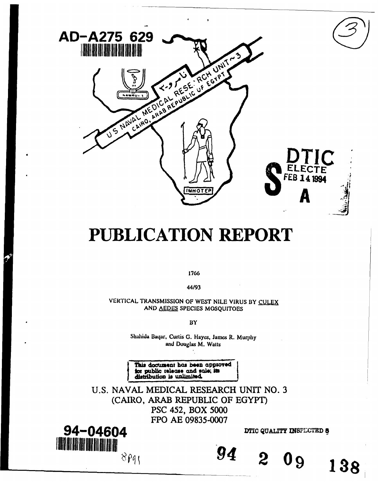

# **PUBLICATION** REPORT

1766

44/93

VERTICAL TRANSMISSION OF WEST NILE VIRUS BY **CULEX** AND **AEDES** SPECIES MOSQUITOES

BY

Shahida Baqar, Curtis G. Hayes, James R. Murphy and Douglas M. Watts

This document has been approved public release and sale; it distribution is unlimite

U.S. NAVAL MEDICAL RESEARCH UNIT NO. 3 (CAIRO, ARAB REPUBLIC OF EGYPT) PSC 452, BOX 5000 FPO AE 09835-0007



*94* 2 **09 138**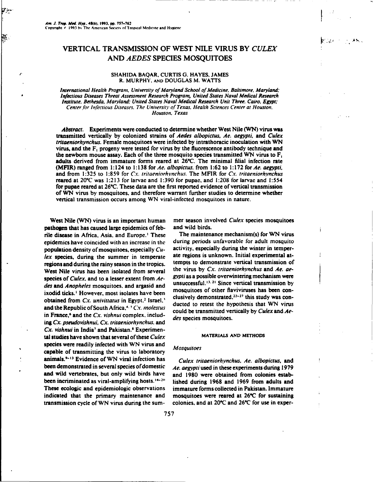Γ÷,

R.

## VERTICAL TRANSMISSION OF WEST NILE VIRUS BY *CULEX* AND *AEDES* SPECIES MOSQUITOES

### **SHAHIDA** BAQAR, CURTIS **G. HAYES. JAMES** R. MURPHY. **AND DOUGLAS** M. WATTS

*International Health Program, University of Maryland School of Medicine, Baltimore, Maryland:* Iqfectious *Diseases Threat Assessment Research Program, United States Naval Medical Research Institute. Bethesda, Maryland: United States Naval Medical Research Unit Three. Cairo, Egypt: Center for Infectious Diseases. The Universit' of Texas. Health Sciences Center at Houston. Houston, Texas*

*Abstract.* Experiments were conducted to determine whether West Nile (WN) virus was transmitted vertically by colonized strains of *Aedes albopictus. Ae. aegypti,* and *Culex tritaeniorhynchus.* Female mosquitoes were infected by intrathoracic inoculation with WN virus, and the  $F_1$  progeny were tested for virus by the fluorescence antibody technique and the newborn mouse assay. Each of the three mosquito species transmitted WN virus to F, adults derived from immature forms reared at 26°C. The minimal filial infection rate (MFIR) ranged from 1:124 to **1:138** for *Ae. albopictus,* from 1:62 to 1:172 for *Ae. aegypti,* and from 1:325 to 1:859 for *Cx. tritaeniorhvnchus.* The MFIR for *Cx. tritaeniorh vnchus* reared at 20\*C was 1:213 for larvae and 1:390 for pupae, and 1:208 for larvae and 1:554 for pupae reared at **26\*C.** These data are the first reported evidence of vertical transmission of WN virus by mosquitoes, and therefore warrant further studies to determine whether vertical transmission occurs among WN viral-infected mosquitoes in nature.

pathogen that has caused large epidemics of feb- and wild birds. rile disease in Africa. Asia, and Europe.' These The maintenance mechanism(s) for WN virus epidemics have coincided with an increase in the during periods unfavorable for adult mosquito population density of mosquitoes, especially  $Cu-$  activity, especially during the winter in temper-<br>lex species, during the summer in temperate ate regions is unknown. Initial experimental atlex species, during the summer in temperate ate regions is unknown. Initial experimental at-<br>regions and during the rainy season in the tropics tempts to demonstrate vertical transmission of regions and during the rainy season in the tropics. West Nile virus has been isolated from several the virus by *Cx. tritaeniorhynchus* and *Ae. ae-*<br>species of *Culax* and to a lesser extent from *Ae.* gypti as a possible overwintering mechanism were species of *Culex*, and to a lesser extent from Ae*des* and *Anopheles* mosquitoes, and argasid and des and *Anopheles* mosquitoes, and argasid and<br>ixodid ticks.' However, most isolates have been mosquitoes of other flaviviruses has been con-<br>obtained from *Cx. univittatus* in Egypt.<sup>2</sup> Israel.' elusively demonstrated, <sup></sup> and the Republic of South Africa,<sup>4.5</sup> Cx. molestus ducted to retest the hypothesis that WN virus<br>in France,<sup>6</sup> and the Cx. vishnui complex, includ-<br>des species mosquitoes. ing *Cx. pseudovishnui, Cx. tritaeniorhynchus.* and *Cx. vishnui* in India' and Pakistan.' Experimental studies have shown that several of these *Culex* **MATERIALS AND METHoDS** species were readily infected with WN virus and capable of transmitting the virus to laboratory animals.<sup>9-13</sup> Evidence of WN viral infection has *Culex tritaeniorhynchus. Ae. albopictus*, and been demonstrated in several species of domestic *Ae. aegypti* used in these experiments during 1979 and wild vertebrates, but only wild birds have and 1980 were obtained from colonies estabbeen incriminated as viral-amplifying hosts.<sup>14-20</sup> These ecologic and epidemiologic observations immature forms collected in Pakistan. Immature indicated that the primary maintenance and mosquitoes were reared at 26"C for sustaining

West Nile (WN) virus is an important human mer season involved Culex species mosquitoes

### Mosquitoes

lished during 1968 and 1969 from adults and transmission cycle of WN virus during the sum- colonies, and at  $20^{\circ}$ C and  $26^{\circ}$ C for use in exper-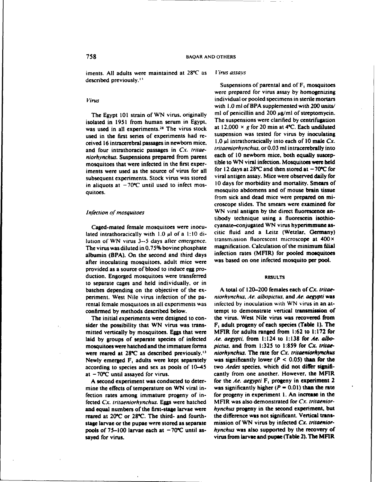iments. All adults were maintained at 28°C as *Virus assays* described previously." Suspensions of parental and of F, mosquitoes

isolated in 1951 from human serum in Egypt. The suspensions were clarified by centrifugation<br>was used in all experiments <sup>28</sup> The virus stock at  $12,000 \times g$  for 20 min at 4 °C. Each undiluted was used in all experiments.<sup>28</sup> The virus stock used in the first series of experiments had re-<br>suspension was tested for virus by inoculating ceived 16 intracerebral passages in newborn mice,  $1.0 \mu$  intrathoracically into each of 10 male *Cx*.<br>and four intrathoracic passages in *Cx. tritae.* tritaeniorhynchus, or 0.03 ml intracerebrally into and four intrathoracic passages in *Cx. tritae- tritaeniorhynchus*, or 0.03 ml intracerebrally into<br>niorhynchus. Suspensions prepared from parent each of 10 newborn mice, both equally suscep*niorhynchus.* Suspensions prepared from parent each of 10 newborn mice, both equally suscep-<br>mosquitoes that were infected in the first experimental includible to WN viral infection. Mosquitoes were held mosquitoes that were infected in the first exper-<br>iments were used as the source of virus for all for  $12 \text{ days}$  at  $28^{\circ}\text{C}$  and then stored at  $-70^{\circ}\text{C}$  for iments were used as the source of virus for all subsequent experiments. Stock virus was stored viral antigen assay. Mice were observed daily for<br>in aliquots at  $-70^{\circ}$ C until used to infect mose. 10 days for morbidity and mortality. Smears of in aliquots at  $-70^{\circ}\text{C}$  until used to infect mosmosquito abdomens and of mouse brain tissue<br>quitoes.

lated intrathoracically with 1.0 *gl* of a **1:10** di- citic fluid and a Leitz (Wetzlar. Germany) lution of WN virus 3--5 days *after emergence.* transmission fluorescent microscope at 400x The virus was diluted in 0.75% bovine phosphate albumin (BPA). On the second and third days infection rates (MFIR) for pooled mosquitoes after inoculating mosquitoes adult mice were was based on one infected mosquito per pool. after inoculating mosquitoes, adult mice were provided as a source of blood to induce egg production. Engorged mosquitoes were transferred **RESULTS** to separate cages and held individually, or in batches depending on the objective of the ex- A total of 120-200 females each of *Cx. tritae*periment. West Nile virus infection of the pa- *niorhynchus. Ae. albopictus*, and *Ae. aegypti* was rental female mosquitoes in all experiments was inlfctcd by inoculation with WN virus in an atconfirmed by methods described below, tempt to demonstrate vertical transmission of

laid by groups of separate species of infected Ae. aegypti, from 1:124 to 1:138 for Ae. albomosquitoes were hatched and the immature forms *pictus.* and from 1:325 to 1:859 for *Cx. tritae*were reared at 289C as described previously.' <sup>3</sup>*niorhynchus.* The rate for *Cx. tritaeniorhynchus* according to species and sex as pools of 10-45 two *Aedes* species, which did not differ signifiat  $-70^{\circ}$ C until assayed for virus. cantly from one another. However, the MFIR

mine the effects of temperature on WN viral in- was significantly higher ( $P = 0.01$ ) than the rate fection rates among immature progeny of in- for progeny in experiment i. An increase in the fected Cx. *tritaeniorhYnchus.* Eggs were hatched MFIR was also demonstrated for *Cx. tritaenior*reared at 20"C or 28"C. The third- and fourth- the difference was not significant. Vertical transstage larvae or the pupae were stored as separate mission of WN virus by infected *Cx. tritaenior*sayed for virus. The MEIR is virus from larvae and pupae (Table 2). The MEIR

were prepared for virus assay by homogenizing *Virus* individual or pooled specimens in sterile mortars with 1.0 ml of BPA supplemented with 200 units/ The Egypt 101 strain of WN virus, originally ml of penicillin and 200  $\mu$ g/ml of streptomycin.<br>Shated in 1951 from human serum in Foynt The suspensions were clarified by centrifugation from sick and dead mice were prepared on microscope slides. The smears were examined for *Infection of mosquitoes* **WN** viral antigen by the direct fluorescence antibody technique using a fluorescein isothio-Caged-mated female mosquitoes were inocu-<br>ted intrathoracically with  $1.0 \text{ }\mu\text{ }$  of a 1:10 di-<br>citic fluid and a Leitz (Wetzlar, Germany)

The initial experiments were designed to con- the virus. West Nile virus was recovered from sider the possibility that WN virus was trans- $F_i$  adult progeny of each species (Table 1). The mitted vertically by mosquitoes. Eggs that were MFIR for adults ranged from 1:62 to 1:172 for Newly emerged  $F_1$  adults were kept separately was significantly lower ( $P < 0.05$ ) than for the A second experiment was conducted to deter- for the *Ae.* aegypti F, progeny in experiment 2 and equal numbers of the first-stage larvae were *hynchus* progeny in the second experiment, but pools of 75-100 larvae each at -70<sup>o</sup>C until as- *hynchus* was also supported by the recovery of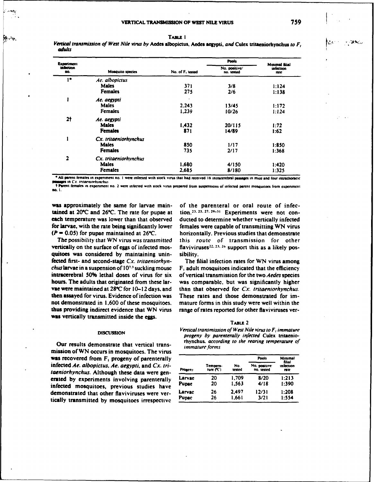*Vertical transmission of West Nile virus by* Aedes albopictus, **Aedes** aegypti, *and* Culex tritacujorhynchus *to F, adiult*

| <b>Experiment</b> |                         |                  | <b>Pools</b>                |                                            |  |
|-------------------|-------------------------|------------------|-----------------------------|--------------------------------------------|--|
| infection<br>DO.  | <b>Mosquito species</b> | No. of F. tested | No. positive/<br>no. tested | <b>Minimal filial</b><br>infection<br>rate |  |
| ı٠                | Ae. albopictus          |                  |                             |                                            |  |
|                   | <b>Males</b>            | 371              | 3/8                         | 1:124                                      |  |
|                   | <b>Females</b>          | 275              | 2/6                         | 1:138                                      |  |
|                   | Ae. aegypti             |                  |                             |                                            |  |
|                   | <b>Males</b>            | 2.243            | 13/45                       | 1:172                                      |  |
|                   | <b>Females</b>          | 1.239            | 10/26                       | 1:124                                      |  |
| 2†                | Ae. aegypti             |                  |                             |                                            |  |
|                   | <b>Males</b>            | 1,432            | 20/115                      | 1:72                                       |  |
|                   | <b>Females</b>          | 871              | 14/89                       | 1:62                                       |  |
|                   | Cx. tritaeniorhynchus   |                  |                             |                                            |  |
|                   | <b>Males</b>            | 850              | 1/17                        | 1:850                                      |  |
|                   | <b>Females</b>          | 735              | 2/17                        | 1:368                                      |  |
| 2                 | Cx. tritaeniorhynchus   |                  |                             |                                            |  |
|                   | <b>Males</b>            | 1.680            | 4/150                       | 1:420                                      |  |
|                   | <b>Females</b>          | 2.685            | 8/180                       | 1:325                                      |  |

**AU parent females in experiment no. 1 were infected with stock virus that had received 16 intracerebral passages in mice and four intrathoracic assesses in Cx.** *Internorhynchus* 

**the Parent females in experiment no. 2 were infected with stock virus prepared from suspensions of infected parent mosquitoes from experiment no.** 

was approximately the same for larvae main- of the parenteral or oral route of infectained at  $20^{\circ}$ C and  $26^{\circ}$ C. The rate for pupae at tion.<sup>23, 25, 27, 29-31</sup> Experiments were not coneach temperature was lower than that observed ducted to determine whether vertically infected for larvae, with the rate being significantly lower females were capable of transmitting WN virus *(P* **- 0.05)** for pupae maintained at **26\*C.** horizontally. Previous studies that demonstrate

vertically on the surface of eggs of infected mos-<br>flaviviruses<sup>22, 23, 26</sup> support this as a likely posquitoes was considered **by** maintaining unin- sibility. fected first- and second-stage *Cx. tritaeniorhyn-* The filial infection rates for WN virus among *chus larvae* in a suspension of  $10<sup>7,1</sup>$  suckling mouse  $F_1$  adult mosquitoes indicated that the efficiency intracerebral **50%** lethal doses of virus for six of vertical transmission for the two *Aedes* species hours. The adults that originated from these lar- was comparable, but was significantly higher vae were maintained at **28\*C** for **10- 12** days. and than that observed for *Cx. tritaeniorhynchus.* then assayed for virus. Evidence of infection was These rates and those demonstrated for imnot demonstrated in **1.600** of these mosquitoes. mature forms in this study were well within the thus providing indirect evidence that WN virus range of rates reported for other flaviviruses verwas vertically transmitted inside the eggs.

Our results demonstrate that vertical trans-<br>*immature forms* mission of WN occurs in mosquitoes. The virus *immature forms* **was recovered from F<sub>1</sub> progeny of parenterally** infected *Ae. albopictus. Ae. aegypti.* and Cx. tri*taeniorhynchus.* Although these data were generated by experiments involving parenterally infected mosquitoes, previous studies have demonstrated that other flaviviruses were vertically transmitted by mosquitoes irrespective

tion.<sup>23, 25, 27, 29-31 Experiments were not con-</sup> The possibility that WN *virus was transmitted this route of* transmission for other

| a.<br>the control of the con- |  |
|-------------------------------|--|
|-------------------------------|--|

*DISCUSSION*<br>DISCUSSION *Vertical transmission of West Nile virus to F, immature* progeny by parenterally infected Culex tritaenio-<br> **rhynchus**, according to the rearing temperature of

| Progeny | Tempera-<br>10re(C) | No.<br>tested | <b>Pools</b>               | Minimal<br>filial<br>infection<br>rate |
|---------|---------------------|---------------|----------------------------|----------------------------------------|
|         |                     |               | No. positive<br>no. tested |                                        |
| Larvae  | 20                  | 1.709         | 8/20                       | 1:213                                  |
| Pupac   | 20                  | 1.563         | 4/18                       | 1:390                                  |
| Larvac  | 26                  | 2.497         | 12/31                      | 1:208                                  |
| Pupac   | 26                  | 1.661         | 3/21                       | 1:554                                  |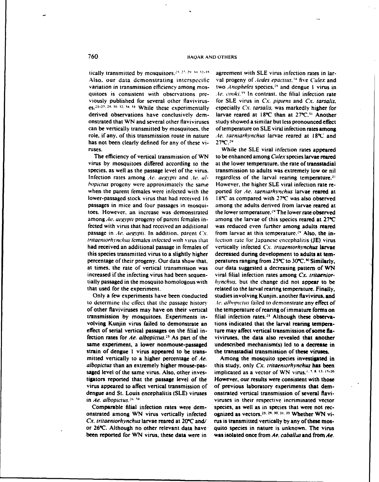Also, our data demonstrating interspecific val progeny of *Aedes epactius*.<sup>14</sup> five *Culex* and variation in transmission efficiency among mos- two *Anopheles* species."' and dengue I virus in quitoes is consistent with observations pre- *.Ae. cooki.*<sup>15</sup> In contrast, the filial infection rate viously published for several other flavivirus- for SLE virus in *Cx. pipiens* and *Cx. tarsalis.* es.<sup>25-27, 29, 30, 32, 34, 35</sub> While these experimentally</sup> derived observations have conclusively demonstrated that WN and several other flaviviruses study showed a similar but less pronounced effect can be vertically transmitted by mosquitoes. the of temperature on SLE viral infection rates among role, if any, of this transmission route in nature *Ae. taeniarhynchus* larvae reared at 18°C and has not been clearly defined for any of these vi- 27°C.<sup>29</sup> has not been clearly defined for any of these viruses. While the SLE viral infection rates appeared

virus by mosquitoes differed according to the at the lower temperature, the rate of transstadial Infection rates among .le. *aegypti* and .le. *al-* regardless of the larval rearing temperature.<sup>31</sup> *hopictus* progeny were approximately the same However, the higher SLE viral infection rate rewhen the parent females were infected with the ported for *Ae. taeniarhvnchus* larvae reared at lower-passaged stock virus that had received 16 18"C as compared with 27"C was also observed passages in mice and four passages in mosqui- among the adults derived from larvae reared at toes. However, an increase was demonstrated the lower temperature.<sup>29</sup> The lower rate observed among Ae. *aegypti* progeny of parent females in- among the larvae of this species reared at 27<sup>°</sup>C fected with virus that had received an additional was reduced even further among adults reared passage in *Ae. aegypti.* In addition, parent Cy. from larvae at this temperature.<sup>29</sup> Also, the in*tritaeniorhynchus ternales infected with virus that* fection rate for Japanese encephalitis (JE) virus had received an additional passage in females of vertically infected *Cx. truaentorhynchus* larvae this species transmitted virus to a slightly higher decreased during development to adults at ternpercentage of their progeny. Our data show that, peratures ranging from **250C** to **30"C.'0** Similarly, at times, the rate of vertical transmission was our data suggested a decreasing pattern of WN increased if the infecting virus had been sequen- viral filial infection rates among *Cx. tritaenior*tially passaged in the mosquito homologous with *hynchus,* but the change did not appear to be

to determine the effect that the passage history *Ite. albopictus* failed to demonstrate any effect of of other flaviviruses may have on their vertical the temperature of reanng of immature forms on transmission by mosquitoes. Experiments in- filial infection rates.<sup>25</sup> Although these observavolving Kunjin virus failed to demonstrate an tions indicated that the larval rearing temperaeffect of serial vertical passages on the filial in- ture may affect vertical transmission of some flafection rates for *Ae. albopictus. "* As part of the viviruses, the data also revealed that another same experiment, a lower nonmouse-passaged undescribed mechanism(s) led to a decrease in strain of dengue 1 virus appeared to be trans- the transstadial transmission of these viruses. mitted vertically to a higher percentage of Ae. Among the mosquito species investigated in *albopictus* than an extremely higher mouse-pas- this study, only *Cx. tritaentorhynchus* has been saged level of the same virus. Also, other inves- implicated as a vector of WN virus.'I'. **\$ 13.** 0-20 tigators reported that the passage level of the However, our results were consistent with those virus appeared to affect vertical transmission of of previous laboratory experiments that demdengue and St. Louis encephalitis (SLE) viruses onstrated vertical transmission of several flaviin *Ae. albopictus.*<sup>26, 34</sup> *viruses* in their respective incriminated vector

onstrated among WN virus vertically infected *Cx. tritaeniorhynchus* larvae reared at 20 °C and/ rus is transmitted vertically by any of these mosor 26°C. Although no other relevant data have quito species in nature is unknown. The virus

tically transmitted by mosquitoes,  $25, 27, 29, 30, 32-35$  agreement with SLE virus infection rates in larlarvae reared at 18°C than at 27°C.<sup>31</sup> Another

The efficiency of vertical transmission of WN to be enhanced among Culex species larvae reared species, as well as the passage level of the virus, transmission to adults was extremely low or nil that used for the experiment. The related to the larval rearing temperature. Finally, Only a few experiments have been conducted studies involving Kunjin. another flavivirus, and

Comparable filial infection rates were dem-<br>strated among WN virus vertically infected ognized as vectors.<sup>23, 29, 30, 31, 33</sup> Whether WN vibeen reported for WN virus, these data were in was isolated once from *Ae. caballus* and from *Ae.*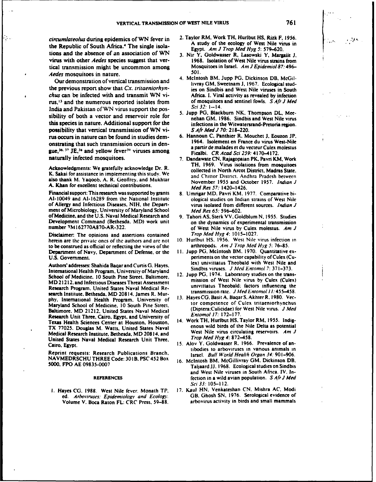*circumlateolus* during epidemics of WN fever in 2. Taylor RM. Work TH. Hurlbut **HS,** Rizk F, 1956. the Republic of South Africa.<sup>4</sup> The single isola-<br>
From the *Line Med Hug 6.570.620* tions and the absence of an association of **WN** 3. Nir Y, Goidwasser R, Lasowski Y. Margaii J, virus with other *Aedes* species suggest that ver-<br>tical transmission might be uncommon among Mosquitoes in Israel. Am J Epidemiol 87:496– tical transmission might be uncommon among Mos<br>And *Herbigers in Israelian* Israel. **Am Jepidemion** Aedes mosquitoes in nature.

the previous report show that *Cx. tritaeniorhyn-* ies on Sindbis and West Nile viruses in South chus can be infected with and transmit WN vi-<br>
rus.<sup>13</sup> and the numerous reported isolates from of mosquitoes and sentinel fowls. S Afr J Med rus,<sup>13</sup> and the numerous reported isolates from of mosquitoes <br>Letter and Delgiana of Welt gives announced the goal Sci 32: 1--14. India and Pakistan of WN virus support the pos- *Sci 32:* 1--14. sibility of both a vector and reservoir role for nehan GM. 1986. Sindbis and West Nile virus nehan GM. 1986. this species in nature. Additional support for the infections in the Witwatersrand-Pretoria region. possibility that vertical transmission of WN vi- S *Aft Med J* 70:218-220. rus occurs in nature can be found in studies dem- 6. Hannoun C. Panthier R, Mouchet **J.** Eouzon **JP,** onstrating that such transmission occurs in dengue,<sup>36. 37</sup> JE.<sup>38</sup> and yellow fever<sup>39</sup> viruses among

Acknowledgments: We gratefully acknowledge Dr. R. collected in North Arcot District. Madras State. K. Sakai for assistance in implementing this study. We and Chittor District, Andhra Pradesh between also thank M. Yaqoob, A. R. Geoffrey, and Mukhtar November 1955 and October 1957. *Indian J* A. Khan for excellent technical contributions. *Med Res 57:* 1420-1426.

Financial support: This research was supported by grants 8. Umrigar MD. Pavri KM. 1977. Comparative bi-A1-10049 and A1-16289 from the National Institute ological studies on Indian strains of West Nile of Allergy and Infectious Diseases. NIH. the Depart- virus isolated from different sources. Indian *J* mert of Microbiology, University of Maryland School *Med Res 65:* 596-602. of Medicine, and the U.S. Naval Medical Research and 9. Tahori **AS.** Sterk VV. Goldblum N, 1955. Studies Development Command (Bethesda, MD) work unit on the dynamics of experimental transmission number 3M162770A870-AR-322.

Disclaimer: The opinions and assertions contained *Trop Med Hyg* 4: 1015-1027. herein are the private ones of the authors and are not 10. Hurlbut HS, 1956. West Nile virus infection in to be construed as official or reflecting the views of the arthropods. Am J Trop Med Hyg 5: 76–85. to be construed as official or reflecting the views of the arthropods. *Am J Trop Med Hyg 5:* 76-85. Department of Navy. Department of Defense, or the U.S. Government. **periments on the vector capability of Culex (Cu-**

International Health Program. University of Maryland Sindbis viruses. *J Med Eniomol 7: 371-373.*<br>School of Madisine, 10 South Bine Street, Beltimore, 12. Jupp PG, 1974. Laboratory studies on the trans-School of Medicine. 10 South Pine Street. Baltimore. 12. Jupp PG. 1974. Laboratory studies on the trans-<br>MD 21213 and Infectious Discographics of Assessment mission of West Nile virus by Culex (Culex) MD 21212, and Infectious Diseases Threat Assessment mission of West Price Virus by Culea (Culea)<br>Research Brogmm, Haited States Novel Medical Person univitiatus. Theobald: factors influencing the Research Program, United States Naval Medical Re-<br>Annual Medical Description of the University of the University of the University of the University of the Medical Description of the Medical Description of the University o search Institute, Bethesda. MD 20814. James R. Murphy. International Health Program. University of 13. Hayes CG, Basit A, Baqar S, Akhter R, 1980. Vec-<br>phy. International Health Program. University of the competence of Culex tritaeniorhynchus Maryland School of Medicine, 10 South Pine Street. **10 Competence of Culex tritaeniorhynchus**<br>Behimage MD 21212, United States Neugl Medical (Diptera:Culicidae) for West Nile virus. *J Med* Baltimore. MD 21212. United States Naval Medical (Diptera:Culicidae) for West Nicholas Naval Medical (Diptera:Culicidae) for West Nicholas Naval Medical (Diptera:Culicidae) for West Nicholas Naval Medical (Diptera:Culicida Research Unit Three, Cairo, Egypt, and University of Texas Health Sciences Center at Houston, Houston, 14. Work TH, Hurlbut HS, Taylor RM, 1955. Indig-<br>Texas Health Sciences Center at Houston, Houston, 14. Work TH, Hurlbut HS, Taylor RM, 1955. Indig-<br>TX 27025. Dougles M. Wat TX 77025. Douglas M. Watts, United States Naval Medical Research Institute. Bethesda. MD 20814. and West Nile virus circulating reservoirs. *Am J* United States Naval Medical Research Unit Three,

Reprint requests: Research Publications Branch, Israel. *Bull World Health Organ 34:* 901-906.<br>NAVMEDRSCHU THREE Code: 301B. PSC 452 Box 16. McIntosh BM. McGillivray GM. Dickinson DB.

Volume V. Boca Raton FL: CRC Press. 59-88. arbovirus activity in birds and small mammals

- Egypt. *Am J Trop Med Hyg* 5: 579-620.
- 
- Our demonstration of vertical transmission and 4. McIntosh BM. Jupp PG. Dickinson DB, McGillivray GM, Sweetnam J, 1967. Ecological stud-
	-
	- a partir de malades et du vecteur Culex molestus<br>Ficalbi. CR Acad Sci 259: 4170-4172.
- naturally infected mosquitoes.<br>
7. Dandawate CN, Rajagopaian PK, Pavri KM, Work<br>
TH, 1969. Virus isolations from mosquitoes
	-
	- of West Nile virus by Culex molestus. *Am J*
	-
- Authors' addresses: Shahida Baqar and Curtis **G.** Hayes, lex) univittatus Theobald with West Nile and
	-
	-
	-
- Cairo. Egypt. **15.** Alov Y. Goldwasser R. 1966. Prevalence of antibodies to arboviruses in various animals in
- 5000. FPO AE 09835-0007 Taljaard JJ. 1968. Ecological studies on Sindbis and West Nile viruses in South Africa. IV. In-**REFERENCES fection in a wild avian population.** *SAfr J Med* Sci *33:* 105-112.
- I. Hayes CG. 1988. West Nile fever. Monath TP, **17.** Kaul HN. Venkateshan CN. Mishra AC. Modi ed. *Arboriruses: Epidemiology and Ecology*. **GB. Ghosh SN. 1976. Serological evidence of**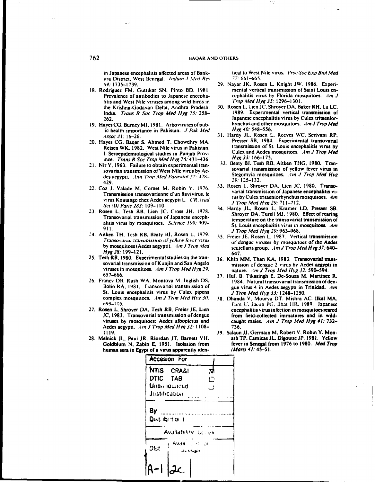ura District. West Benegal. *Indian J Med Res* 

- **18. Rodriguez FM. Guttikar SN. Pinto BD. 1981.** litis and West Nile viruses among wild birds in the Krishna-Godavan Delta, Andhra Pradesh, **India.** *Trans R Soc Trop Med Hyg 75:* 258-262.
- 19. **Hayes CG, Burney MI, 1981.** Arboviruses of pub- hynchus and other his health importance in Pakistan. *J. Pak. Med* Hyg 40: 548–556. lic health importance in Pakistan. *J Pak Med*
- **1. Seroepidemiological studies in Punjab Prov-** Culex and Aedes in Punjab Prov-<br>ince Trans B Soc Trop Med Hyp 76: 431-436 Hyg 33: 166-175. ince. Trans R Soc Trop Med Hyg 76: 431–436. Hyg 33: 166–175.<br>ir Y 1963. Failure to obtain experimental trans. 32. Beaty BJ, Tesh RB, Aitken THG, 1980. Tran-
- des aegypti. *Ann Trop Med Parasitol 57:* 428- $\frac{320}{29.125-132}$ . 429. **29: 125-132.**
- virs Kutngochz Acle agypi .kC~ad rus **by** Culex tritaeniorhynchus mosquitoes. Am Sci *(D)* Paris **283: 109-110.** *JTo fdHg2:7172*
- alitis virus by mosquitoes. Science 199: 909-<br>911.
- **<sup>J</sup>**Trop Med Iývg **29: 963-968.** 24. Aitken TH. Tesh RB. Beaty **BI,** Rosen L. **1979. 35.** Freicr **IE.** Rosen L, **1987.** Vertical transmission **Hyvg 28: 199-12 1.** 647.
- **25.** Tesh RB. **1980.** Experimental studies on the iran- **36.** Khin MM, Than KA. **1983.** Transovarial transviruses in mosquitoes. *Am J Trop Med Hyg 29:* nature. Am *J Trop Med Hyg 32:* 590-594.<br>nature. Ami *R* Tikasingh F De-Souza M Martinez
- St. Louis encephalitis virus by Culex pipens **J** *Trop Med Hyg 33:* 1248-1250.<br>
complex mosquitoes. Am J Trop Med Hyg 30: 38. Dhanda V. Mourva DT. Mishra A
- Aedes aegypti. *Alin J* Trop Med Iývg 32: **1108- 736.**
- **28.** Melnick **JL.** Paul JR. Riordan IT. Barnett VH, ath TP. Camicas **JL.** Digoutte **JP. 198 1.** Yellow Goldblum N. Zabin E. 1951. Isolation from fever in Senegal from **1980. 1980. 1980. 1980. 1980. 1980. 1980. 1980. 1980. 1980. 1980. 1980. 1980. 1980. 1980. 1980. 1980. 1980. 1980. 1980.** human sera in Egypt of a virus apparently iden-

in Japanese encephalitis affected areas of Bank-<br>ura District. West Benegal. *Indian J Med Res* 77: 661–665.

- **64: 1735-1739. 29.** Nayar 1K. Rosen L. Knight **JW. 1986.** Experi-Prevalence of antibodies to Japanese encepha-<br>
litis and West Nile viruses among wild birds in *Trop Med Hyg 35:* 1296–1301.
	- 10. Rosen L. Lien JC. Shroyer DA. Baker RH. Lu LC.<br>1989. Experimental vertical transmission of Japanese encephalitis virus by Culex tritaenior-<br>hynchus and other mosquitoes. Am J Trop Med
- Assoc 31: 16-26.<br> *Assoc 31:* 16-26. **31. 31.** Hardy JL. Rosen L, Reeves WC. Scrivani RP, ayes CG, Bagar S, Ahmed T, Chowdhry MA, Presser SB, 1984. Experimental transovarial 20. Hayes **CG.** Baqar **S.** Ahmed T. Cbowdhry MA. Presser. SB. 1984. Experimental transovarial Reisen WK, 1982. West Nile virus in Pakistan. **transmission of St. Louis encephalitis virus by**<br> **1. Seroepidemiological studies in Punish Prov.** Culex and Aedes mosquitoes. Am J Trop Med
- 21. Nir Y. 1963. Failure to obtain experimental tran- **32.** Beaty Hi. Tesh RB. Aitken **THG. 1980.** Trmnsovarian transmission of West Nile virus by Ae-<br>
Stegomyia mosquitoes. Am J Trop Med Hyg
- 22. Coz **J.** Valade M. Comet M. Robin **Y . 1976. 33.** Rosen L. Shroyer **DA.** Lien **IC. 1980.** Transo-Transmission transovarienne d'un fiavivirus. **le** varial transmission of Japanese encephalitis vi-
- **23.** Rosen L. Tesh RB. Lien **IC.** C'ross **JH. 1978.** 34. Hardy **IL.** Rosen L. Kramer LD. Presser SB. Transovarial transmission of Japanese enceph-<br>temperature on the transovarial transmission of **911. Louis encephalitis virus in mosquitoes.** Am J Trop Med Hvg 29: 963–968.
	- **Transovarial transmission of yellow fever virus** of dengue viruses by mosquitoes of the Aedes<br>by mosquitoes (Aedes aegypti). Am J Trop Med<br>sequellaris group Am J Trop Med Hyg 37:640 scutellaris group. Am J Trop Med Hyg 37:640
		- mission of dengue 2 virus by Aedes aegypti in
- **657-666. 37.** Hull B. Tikasingh **E,** De-Souza M. Martinez R. **26.** Franey DB. Rush WA. Montoya M. Inglish **DS.** 1984. Natural transovanial transmission ofden-Bolin RA. 1981. Transovarial transmission of gue virus 4 in Aedes aegypti in Trinidad. Am
- 38. Dhanda V. Mourya DT, Mishra AC. Ilkal MA. b99-7105. Pajnt U. Jacob **PG.** l3hat 11R. **19)89.** Japanese **27.** Rosen L. Shroyer **DA.** Tesh RB. Preier **JE.** Lien encephalitis virus infection in mosquitoes reared **IC. 1983.** Transovarial transmission of dengue from field-collected immatures and in wildviruses **by** mosquitoes: Aedes albopictus and caught males. *filn J* Trop Med **Hyg** 41: **732-**
	- **1119. 39.** Salaun **JI.** Germain M. Robert V. Robin Y. Mon-

|               | <b>Accesion For</b>                     |  |  |
|---------------|-----------------------------------------|--|--|
|               | NTIS CRA&I<br>V,                        |  |  |
| DTIC TAB      | П                                       |  |  |
|               | <b>Unamounced</b>                       |  |  |
| Justification |                                         |  |  |
|               | Dist. ib. tion /<br>Availability Colles |  |  |
| <b>Dist</b>   | Avall of or<br>つにいしぬけ                   |  |  |
|               |                                         |  |  |